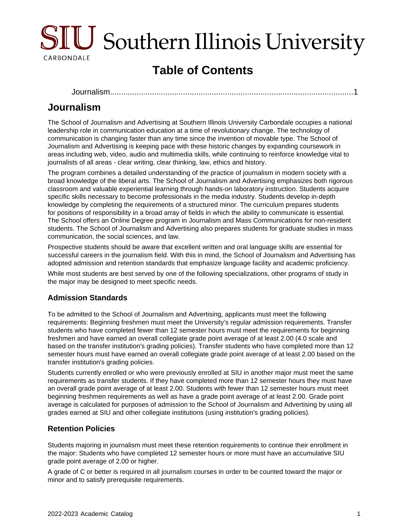

# **Table of Contents**

[Journalism..........................................................................................................](#page-0-0)....1

# <span id="page-0-0"></span>**Journalism**

The School of Journalism and Advertising at Southern Illinois University Carbondale occupies a national leadership role in communication education at a time of revolutionary change. The technology of communication is changing faster than any time since the invention of movable type. The School of Journalism and Advertising is keeping pace with these historic changes by expanding coursework in areas including web, video, audio and multimedia skills, while continuing to reinforce knowledge vital to journalists of all areas - clear writing, clear thinking, law, ethics and history.

The program combines a detailed understanding of the practice of journalism in modern society with a broad knowledge of the liberal arts. The School of Journalism and Advertising emphasizes both rigorous classroom and valuable experiential learning through hands-on laboratory instruction. Students acquire specific skills necessary to become professionals in the media industry. Students develop in-depth knowledge by completing the requirements of a structured minor. The curriculum prepares students for positions of responsibility in a broad array of fields in which the ability to communicate is essential. The School offers an Online Degree program in Journalism and Mass Communications for non-resident students. The School of Journalism and Advertising also prepares students for graduate studies in mass communication, the social sciences, and law.

Prospective students should be aware that excellent written and oral language skills are essential for successful careers in the journalism field. With this in mind, the School of Journalism and Advertising has adopted admission and retention standards that emphasize language facility and academic proficiency.

While most students are best served by one of the following specializations, other programs of study in the major may be designed to meet specific needs.

## **Admission Standards**

To be admitted to the School of Journalism and Advertising, applicants must meet the following requirements: Beginning freshmen must meet the University's regular admission requirements. Transfer students who have completed fewer than 12 semester hours must meet the requirements for beginning freshmen and have earned an overall collegiate grade point average of at least 2.00 (4.0 scale and based on the transfer institution's grading policies). Transfer students who have completed more than 12 semester hours must have earned an overall collegiate grade point average of at least 2.00 based on the transfer institution's grading policies.

Students currently enrolled or who were previously enrolled at SIU in another major must meet the same requirements as transfer students. If they have completed more than 12 semester hours they must have an overall grade point average of at least 2.00. Students with fewer than 12 semester hours must meet beginning freshmen requirements as well as have a grade point average of at least 2.00. Grade point average is calculated for purposes of admission to the School of Journalism and Advertising by using all grades earned at SIU and other collegiate institutions (using institution's grading policies).

### **Retention Policies**

Students majoring in journalism must meet these retention requirements to continue their enrollment in the major: Students who have completed 12 semester hours or more must have an accumulative SIU grade point average of 2.00 or higher.

A grade of C or better is required in all journalism courses in order to be counted toward the major or minor and to satisfy prerequisite requirements.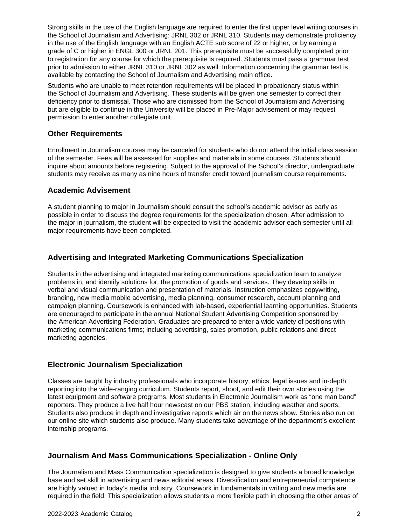Strong skills in the use of the English language are required to enter the first upper level writing courses in the School of Journalism and Advertising: JRNL 302 or JRNL 310. Students may demonstrate proficiency in the use of the English language with an English ACTE sub score of 22 or higher, or by earning a grade of C or higher in ENGL 300 or JRNL 201. This prerequisite must be successfully completed prior to registration for any course for which the prerequisite is required. Students must pass a grammar test prior to admission to either JRNL 310 or JRNL 302 as well. Information concerning the grammar test is available by contacting the School of Journalism and Advertising main office.

Students who are unable to meet retention requirements will be placed in probationary status within the School of Journalism and Advertising. These students will be given one semester to correct their deficiency prior to dismissal. Those who are dismissed from the School of Journalism and Advertising but are eligible to continue in the University will be placed in Pre-Major advisement or may request permission to enter another collegiate unit.

#### **Other Requirements**

Enrollment in Journalism courses may be canceled for students who do not attend the initial class session of the semester. Fees will be assessed for supplies and materials in some courses. Students should inquire about amounts before registering. Subject to the approval of the School's director, undergraduate students may receive as many as nine hours of transfer credit toward journalism course requirements.

#### **Academic Advisement**

A student planning to major in Journalism should consult the school's academic advisor as early as possible in order to discuss the degree requirements for the specialization chosen. After admission to the major in journalism, the student will be expected to visit the academic advisor each semester until all major requirements have been completed.

### **Advertising and Integrated Marketing Communications Specialization**

Students in the advertising and integrated marketing communications specialization learn to analyze problems in, and identify solutions for, the promotion of goods and services. They develop skills in verbal and visual communication and presentation of materials. Instruction emphasizes copywriting, branding, new media mobile advertising, media planning, consumer research, account planning and campaign planning. Coursework is enhanced with lab-based, experiential learning opportunities. Students are encouraged to participate in the annual National Student Advertising Competition sponsored by the American Advertising Federation. Graduates are prepared to enter a wide variety of positions with marketing communications firms; including advertising, sales promotion, public relations and direct marketing agencies.

#### **Electronic Journalism Specialization**

Classes are taught by industry professionals who incorporate history, ethics, legal issues and in-depth reporting into the wide-ranging curriculum. Students report, shoot, and edit their own stories using the latest equipment and software programs. Most students in Electronic Journalism work as "one man band" reporters. They produce a live half hour newscast on our PBS station, including weather and sports. Students also produce in depth and investigative reports which air on the news show. Stories also run on our online site which students also produce. Many students take advantage of the department's excellent internship programs.

### **Journalism And Mass Communications Specialization - Online Only**

The Journalism and Mass Communication specialization is designed to give students a broad knowledge base and set skill in advertising and news editorial areas. Diversification and entrepreneurial competence are highly valued in today's media industry. Coursework in fundamentals in writing and new media are required in the field. This specialization allows students a more flexible path in choosing the other areas of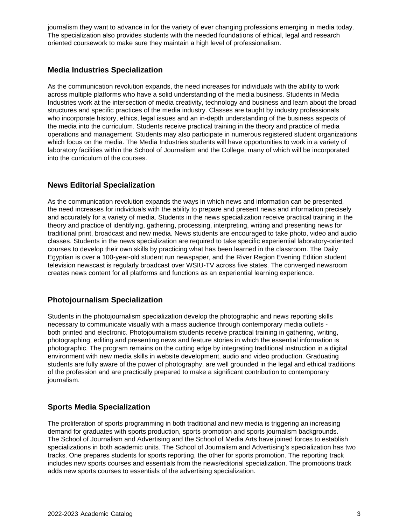journalism they want to advance in for the variety of ever changing professions emerging in media today. The specialization also provides students with the needed foundations of ethical, legal and research oriented coursework to make sure they maintain a high level of professionalism.

#### **Media Industries Specialization**

As the communication revolution expands, the need increases for individuals with the ability to work across multiple platforms who have a solid understanding of the media business. Students in Media Industries work at the intersection of media creativity, technology and business and learn about the broad structures and specific practices of the media industry. Classes are taught by industry professionals who incorporate history, ethics, legal issues and an in-depth understanding of the business aspects of the media into the curriculum. Students receive practical training in the theory and practice of media operations and management. Students may also participate in numerous registered student organizations which focus on the media. The Media Industries students will have opportunities to work in a variety of laboratory facilities within the School of Journalism and the College, many of which will be incorporated into the curriculum of the courses.

### **News Editorial Specialization**

As the communication revolution expands the ways in which news and information can be presented, the need increases for individuals with the ability to prepare and present news and information precisely and accurately for a variety of media. Students in the news specialization receive practical training in the theory and practice of identifying, gathering, processing, interpreting, writing and presenting news for traditional print, broadcast and new media. News students are encouraged to take photo, video and audio classes. Students in the news specialization are required to take specific experiential laboratory-oriented courses to develop their own skills by practicing what has been learned in the classroom. The Daily Egyptian is over a 100-year-old student run newspaper, and the River Region Evening Edition student television newscast is regularly broadcast over WSIU-TV across five states. The converged newsroom creates news content for all platforms and functions as an experiential learning experience.

### **Photojournalism Specialization**

Students in the photojournalism specialization develop the photographic and news reporting skills necessary to communicate visually with a mass audience through contemporary media outlets both printed and electronic. Photojournalism students receive practical training in gathering, writing, photographing, editing and presenting news and feature stories in which the essential information is photographic. The program remains on the cutting edge by integrating traditional instruction in a digital environment with new media skills in website development, audio and video production. Graduating students are fully aware of the power of photography, are well grounded in the legal and ethical traditions of the profession and are practically prepared to make a significant contribution to contemporary journalism.

## **Sports Media Specialization**

The proliferation of sports programming in both traditional and new media is triggering an increasing demand for graduates with sports production, sports promotion and sports journalism backgrounds. The School of Journalism and Advertising and the School of Media Arts have joined forces to establish specializations in both academic units. The School of Journalism and Advertising's specialization has two tracks. One prepares students for sports reporting, the other for sports promotion. The reporting track includes new sports courses and essentials from the news/editorial specialization. The promotions track adds new sports courses to essentials of the advertising specialization.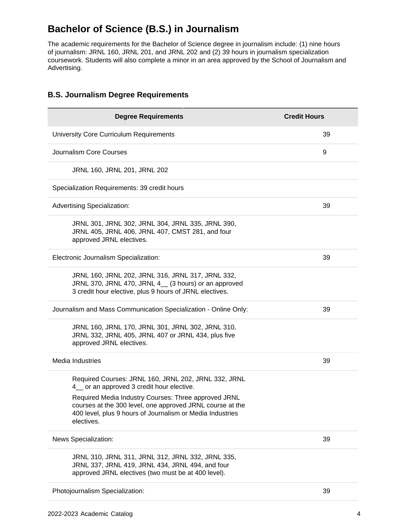# **Bachelor of Science (B.S.) in Journalism**

The academic requirements for the Bachelor of Science degree in journalism include: (1) nine hours of journalism: JRNL 160, JRNL 201, and JRNL 202 and (2) 39 hours in journalism specialization coursework. Students will also complete a minor in an area approved by the School of Journalism and Advertising.

| <b>Degree Requirements</b>                                                                                                                                                                   | <b>Credit Hours</b> |
|----------------------------------------------------------------------------------------------------------------------------------------------------------------------------------------------|---------------------|
| University Core Curriculum Requirements                                                                                                                                                      | 39                  |
| Journalism Core Courses                                                                                                                                                                      | 9                   |
| JRNL 160, JRNL 201, JRNL 202                                                                                                                                                                 |                     |
| Specialization Requirements: 39 credit hours                                                                                                                                                 |                     |
| <b>Advertising Specialization:</b>                                                                                                                                                           | 39                  |
| JRNL 301, JRNL 302, JRNL 304, JRNL 335, JRNL 390,<br>JRNL 405, JRNL 406, JRNL 407, CMST 281, and four<br>approved JRNL electives.                                                            |                     |
| Electronic Journalism Specialization:                                                                                                                                                        | 39                  |
| JRNL 160, JRNL 202, JRNL 316, JRNL 317, JRNL 332,<br>JRNL 370, JRNL 470, JRNL 4_ (3 hours) or an approved<br>3 credit hour elective, plus 9 hours of JRNL electives.                         |                     |
| Journalism and Mass Communication Specialization - Online Only:                                                                                                                              | 39                  |
| JRNL 160, JRNL 170, JRNL 301, JRNL 302, JRNL 310,<br>JRNL 332, JRNL 405, JRNL 407 or JRNL 434, plus five<br>approved JRNL electives.                                                         |                     |
| Media Industries                                                                                                                                                                             | 39                  |
| Required Courses: JRNL 160, JRNL 202, JRNL 332, JRNL<br>4 or an approved 3 credit hour elective.                                                                                             |                     |
| Required Media Industry Courses: Three approved JRNL<br>courses at the 300 level, one approved JRNL course at the<br>400 level, plus 9 hours of Journalism or Media Industries<br>electives. |                     |
| News Specialization:                                                                                                                                                                         | 39                  |
| JRNL 310, JRNL 311, JRNL 312, JRNL 332, JRNL 335,<br>JRNL 337, JRNL 419, JRNL 434, JRNL 494, and four<br>approved JRNL electives (two must be at 400 level).                                 |                     |
| Photojournalism Specialization:                                                                                                                                                              | 39                  |

### **B.S. Journalism Degree Requirements**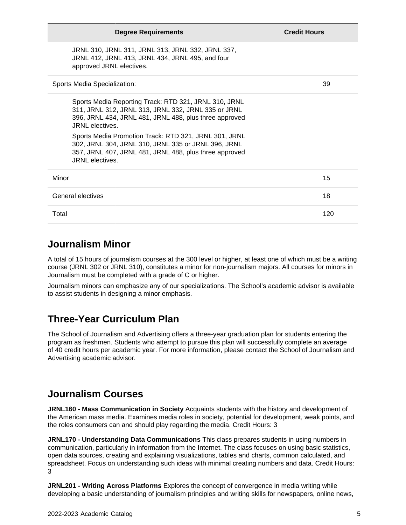| <b>Degree Requirements</b>                                                                                                                                                                       | <b>Credit Hours</b> |
|--------------------------------------------------------------------------------------------------------------------------------------------------------------------------------------------------|---------------------|
| JRNL 310, JRNL 311, JRNL 313, JRNL 332, JRNL 337,<br>JRNL 412, JRNL 413, JRNL 434, JRNL 495, and four<br>approved JRNL electives.                                                                |                     |
| Sports Media Specialization:                                                                                                                                                                     | 39                  |
| Sports Media Reporting Track: RTD 321, JRNL 310, JRNL<br>311, JRNL 312, JRNL 313, JRNL 332, JRNL 335 or JRNL<br>396, JRNL 434, JRNL 481, JRNL 488, plus three approved<br>JRNL electives.        |                     |
| Sports Media Promotion Track: RTD 321, JRNL 301, JRNL<br>302, JRNL 304, JRNL 310, JRNL 335 or JRNL 396, JRNL<br>357, JRNL 407, JRNL 481, JRNL 488, plus three approved<br><b>JRNL</b> electives. |                     |
| Minor                                                                                                                                                                                            | 15                  |
| General electives                                                                                                                                                                                | 18                  |
| Total                                                                                                                                                                                            | 120                 |

# **Journalism Minor**

A total of 15 hours of journalism courses at the 300 level or higher, at least one of which must be a writing course (JRNL 302 or JRNL 310), constitutes a minor for non-journalism majors. All courses for minors in Journalism must be completed with a grade of C or higher.

Journalism minors can emphasize any of our specializations. The School's academic advisor is available to assist students in designing a minor emphasis.

# **Three-Year Curriculum Plan**

The School of Journalism and Advertising offers a three-year graduation plan for students entering the program as freshmen. Students who attempt to pursue this plan will successfully complete an average of 40 credit hours per academic year. For more information, please contact the School of Journalism and Advertising academic advisor.

# **Journalism Courses**

**JRNL160 - Mass Communication in Society** Acquaints students with the history and development of the American mass media. Examines media roles in society, potential for development, weak points, and the roles consumers can and should play regarding the media. Credit Hours: 3

**JRNL170 - Understanding Data Communications** This class prepares students in using numbers in communication, particularly in information from the Internet. The class focuses on using basic statistics, open data sources, creating and explaining visualizations, tables and charts, common calculated, and spreadsheet. Focus on understanding such ideas with minimal creating numbers and data. Credit Hours: 3

**JRNL201 - Writing Across Platforms** Explores the concept of convergence in media writing while developing a basic understanding of journalism principles and writing skills for newspapers, online news,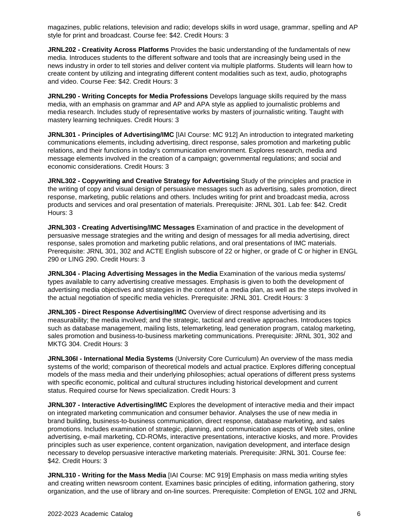magazines, public relations, television and radio; develops skills in word usage, grammar, spelling and AP style for print and broadcast. Course fee: \$42. Credit Hours: 3

**JRNL202 - Creativity Across Platforms** Provides the basic understanding of the fundamentals of new media. Introduces students to the different software and tools that are increasingly being used in the news industry in order to tell stories and deliver content via multiple platforms. Students will learn how to create content by utilizing and integrating different content modalities such as text, audio, photographs and video. Course Fee: \$42. Credit Hours: 3

**JRNL290 - Writing Concepts for Media Professions** Develops language skills required by the mass media, with an emphasis on grammar and AP and APA style as applied to journalistic problems and media research. Includes study of representative works by masters of journalistic writing. Taught with mastery learning techniques. Credit Hours: 3

**JRNL301 - Principles of Advertising/IMC** [IAI Course: MC 912] An introduction to integrated marketing communications elements, including advertising, direct response, sales promotion and marketing public relations, and their functions in today's communication environment. Explores research, media and message elements involved in the creation of a campaign; governmental regulations; and social and economic considerations. Credit Hours: 3

**JRNL302 - Copywriting and Creative Strategy for Advertising** Study of the principles and practice in the writing of copy and visual design of persuasive messages such as advertising, sales promotion, direct response, marketing, public relations and others. Includes writing for print and broadcast media, across products and services and oral presentation of materials. Prerequisite: JRNL 301. Lab fee: \$42. Credit Hours: 3

**JRNL303 - Creating Advertising/IMC Messages** Examination of and practice in the development of persuasive message strategies and the writing and design of messages for all media advertising, direct response, sales promotion and marketing public relations, and oral presentations of IMC materials. Prerequisite: JRNL 301, 302 and ACTE English subscore of 22 or higher, or grade of C or higher in ENGL 290 or LING 290. Credit Hours: 3

**JRNL304 - Placing Advertising Messages in the Media** Examination of the various media systems/ types available to carry advertising creative messages. Emphasis is given to both the development of advertising media objectives and strategies in the context of a media plan, as well as the steps involved in the actual negotiation of specific media vehicles. Prerequisite: JRNL 301. Credit Hours: 3

**JRNL305 - Direct Response Advertising/IMC** Overview of direct response advertising and its measurability; the media involved; and the strategic, tactical and creative approaches. Introduces topics such as database management, mailing lists, telemarketing, lead generation program, catalog marketing, sales promotion and business-to-business marketing communications. Prerequisite: JRNL 301, 302 and MKTG 304. Credit Hours: 3

**JRNL306I - International Media Systems** (University Core Curriculum) An overview of the mass media systems of the world; comparison of theoretical models and actual practice. Explores differing conceptual models of the mass media and their underlying philosophies; actual operations of different press systems with specific economic, political and cultural structures including historical development and current status. Required course for News specialization. Credit Hours: 3

**JRNL307 - Interactive Advertising/IMC** Explores the development of interactive media and their impact on integrated marketing communication and consumer behavior. Analyses the use of new media in brand building, business-to-business communication, direct response, database marketing, and sales promotions. Includes examination of strategic, planning, and communication aspects of Web sites, online advertising, e-mail marketing, CD-ROMs, interactive presentations, interactive kiosks, and more. Provides principles such as user experience, content organization, navigation development, and interface design necessary to develop persuasive interactive marketing materials. Prerequisite: JRNL 301. Course fee: \$42. Credit Hours: 3

**JRNL310 - Writing for the Mass Media** [IAI Course: MC 919] Emphasis on mass media writing styles and creating written newsroom content. Examines basic principles of editing, information gathering, story organization, and the use of library and on-line sources. Prerequisite: Completion of ENGL 102 and JRNL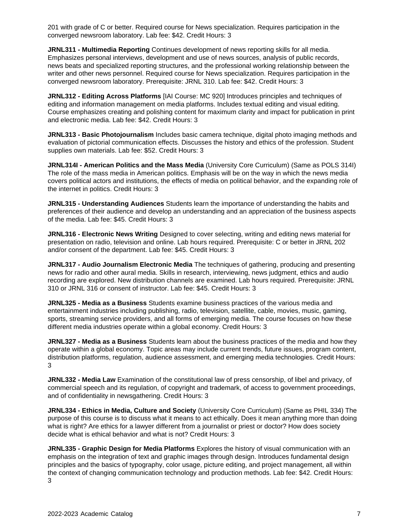201 with grade of C or better. Required course for News specialization. Requires participation in the converged newsroom laboratory. Lab fee: \$42. Credit Hours: 3

**JRNL311 - Multimedia Reporting** Continues development of news reporting skills for all media. Emphasizes personal interviews, development and use of news sources, analysis of public records, news beats and specialized reporting structures, and the professional working relationship between the writer and other news personnel. Required course for News specialization. Requires participation in the converged newsroom laboratory. Prerequisite: JRNL 310. Lab fee: \$42. Credit Hours: 3

**JRNL312 - Editing Across Platforms** [IAI Course: MC 920] Introduces principles and techniques of editing and information management on media platforms. Includes textual editing and visual editing. Course emphasizes creating and polishing content for maximum clarity and impact for publication in print and electronic media. Lab fee: \$42. Credit Hours: 3

**JRNL313 - Basic Photojournalism** Includes basic camera technique, digital photo imaging methods and evaluation of pictorial communication effects. Discusses the history and ethics of the profession. Student supplies own materials. Lab fee: \$52. Credit Hours: 3

**JRNL314I - American Politics and the Mass Media** (University Core Curriculum) (Same as POLS 314I) The role of the mass media in American politics. Emphasis will be on the way in which the news media covers political actors and institutions, the effects of media on political behavior, and the expanding role of the internet in politics. Credit Hours: 3

**JRNL315 - Understanding Audiences** Students learn the importance of understanding the habits and preferences of their audience and develop an understanding and an appreciation of the business aspects of the media. Lab fee: \$45. Credit Hours: 3

**JRNL316 - Electronic News Writing** Designed to cover selecting, writing and editing news material for presentation on radio, television and online. Lab hours required. Prerequisite: C or better in JRNL 202 and/or consent of the department. Lab fee: \$45. Credit Hours: 3

**JRNL317 - Audio Journalism Electronic Media** The techniques of gathering, producing and presenting news for radio and other aural media. Skills in research, interviewing, news judgment, ethics and audio recording are explored. New distribution channels are examined. Lab hours required. Prerequisite: JRNL 310 or JRNL 316 or consent of instructor. Lab fee: \$45. Credit Hours: 3

**JRNL325 - Media as a Business** Students examine business practices of the various media and entertainment industries including publishing, radio, television, satellite, cable, movies, music, gaming, sports, streaming service providers, and all forms of emerging media. The course focuses on how these different media industries operate within a global economy. Credit Hours: 3

**JRNL327 - Media as a Business** Students learn about the business practices of the media and how they operate within a global economy. Topic areas may include current trends, future issues, program content, distribution platforms, regulation, audience assessment, and emerging media technologies. Credit Hours: 3

**JRNL332 - Media Law** Examination of the constitutional law of press censorship, of libel and privacy, of commercial speech and its regulation, of copyright and trademark, of access to government proceedings, and of confidentiality in newsgathering. Credit Hours: 3

**JRNL334 - Ethics in Media, Culture and Society** (University Core Curriculum) (Same as PHIL 334) The purpose of this course is to discuss what it means to act ethically. Does it mean anything more than doing what is right? Are ethics for a lawyer different from a journalist or priest or doctor? How does society decide what is ethical behavior and what is not? Credit Hours: 3

**JRNL335 - Graphic Design for Media Platforms** Explores the history of visual communication with an emphasis on the integration of text and graphic images through design. Introduces fundamental design principles and the basics of typography, color usage, picture editing, and project management, all within the context of changing communication technology and production methods. Lab fee: \$42. Credit Hours: 3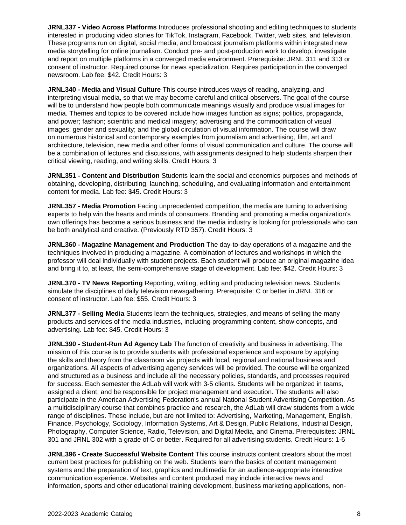**JRNL337 - Video Across Platforms** Introduces professional shooting and editing techniques to students interested in producing video stories for TikTok, Instagram, Facebook, Twitter, web sites, and television. These programs run on digital, social media, and broadcast journalism platforms within integrated new media storytelling for online journalism. Conduct pre- and post-production work to develop, investigate and report on multiple platforms in a converged media environment. Prerequisite: JRNL 311 and 313 or consent of instructor. Required course for news specialization. Requires participation in the converged newsroom. Lab fee: \$42. Credit Hours: 3

**JRNL340 - Media and Visual Culture** This course introduces ways of reading, analyzing, and interpreting visual media, so that we may become careful and critical observers. The goal of the course will be to understand how people both communicate meanings visually and produce visual images for media. Themes and topics to be covered include how images function as signs; politics, propaganda, and power; fashion; scientific and medical imagery; advertising and the commodification of visual images; gender and sexuality; and the global circulation of visual information. The course will draw on numerous historical and contemporary examples from journalism and advertising, film, art and architecture, television, new media and other forms of visual communication and culture. The course will be a combination of lectures and discussions, with assignments designed to help students sharpen their critical viewing, reading, and writing skills. Credit Hours: 3

**JRNL351 - Content and Distribution** Students learn the social and economics purposes and methods of obtaining, developing, distributing, launching, scheduling, and evaluating information and entertainment content for media. Lab fee: \$45. Credit Hours: 3

**JRNL357 - Media Promotion** Facing unprecedented competition, the media are turning to advertising experts to help win the hearts and minds of consumers. Branding and promoting a media organization's own offerings has become a serious business and the media industry is looking for professionals who can be both analytical and creative. (Previously RTD 357). Credit Hours: 3

**JRNL360 - Magazine Management and Production** The day-to-day operations of a magazine and the techniques involved in producing a magazine. A combination of lectures and workshops in which the professor will deal individually with student projects. Each student will produce an original magazine idea and bring it to, at least, the semi-comprehensive stage of development. Lab fee: \$42. Credit Hours: 3

**JRNL370 - TV News Reporting** Reporting, writing, editing and producing television news. Students simulate the disciplines of daily television newsgathering. Prerequisite: C or better in JRNL 316 or consent of instructor. Lab fee: \$55. Credit Hours: 3

**JRNL377 - Selling Media** Students learn the techniques, strategies, and means of selling the many products and services of the media industries, including programming content, show concepts, and advertising. Lab fee: \$45. Credit Hours: 3

**JRNL390 - Student-Run Ad Agency Lab** The function of creativity and business in advertising. The mission of this course is to provide students with professional experience and exposure by applying the skills and theory from the classroom via projects with local, regional and national business and organizations. All aspects of advertising agency services will be provided. The course will be organized and structured as a business and include all the necessary policies, standards, and processes required for success. Each semester the AdLab will work with 3-5 clients. Students will be organized in teams, assigned a client, and be responsible for project management and execution. The students will also participate in the American Advertising Federation's annual National Student Advertising Competition. As a multidisciplinary course that combines practice and research, the AdLab will draw students from a wide range of disciplines. These include, but are not limited to: Advertising, Marketing, Management, English, Finance, Psychology, Sociology, Information Systems, Art & Design, Public Relations, Industrial Design, Photography, Computer Science, Radio, Television, and Digital Media, and Cinema. Prerequisites: JRNL 301 and JRNL 302 with a grade of C or better. Required for all advertising students. Credit Hours: 1-6

**JRNL396 - Create Successful Website Content** This course instructs content creators about the most current best practices for publishing on the web. Students learn the basics of content management systems and the preparation of text, graphics and multimedia for an audience-appropriate interactive communication experience. Websites and content produced may include interactive news and information, sports and other educational training development, business marketing applications, non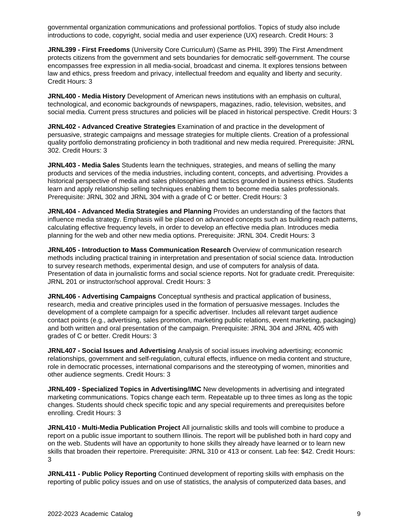governmental organization communications and professional portfolios. Topics of study also include introductions to code, copyright, social media and user experience (UX) research. Credit Hours: 3

**JRNL399 - First Freedoms** (University Core Curriculum) (Same as PHIL 399) The First Amendment protects citizens from the government and sets boundaries for democratic self-government. The course encompasses free expression in all media-social, broadcast and cinema. It explores tensions between law and ethics, press freedom and privacy, intellectual freedom and equality and liberty and security. Credit Hours: 3

**JRNL400 - Media History** Development of American news institutions with an emphasis on cultural, technological, and economic backgrounds of newspapers, magazines, radio, television, websites, and social media. Current press structures and policies will be placed in historical perspective. Credit Hours: 3

**JRNL402 - Advanced Creative Strategies** Examination of and practice in the development of persuasive, strategic campaigns and message strategies for multiple clients. Creation of a professional quality portfolio demonstrating proficiency in both traditional and new media required. Prerequisite: JRNL 302. Credit Hours: 3

**JRNL403 - Media Sales** Students learn the techniques, strategies, and means of selling the many products and services of the media industries, including content, concepts, and advertising. Provides a historical perspective of media and sales philosophies and tactics grounded in business ethics. Students learn and apply relationship selling techniques enabling them to become media sales professionals. Prerequisite: JRNL 302 and JRNL 304 with a grade of C or better. Credit Hours: 3

**JRNL404 - Advanced Media Strategies and Planning** Provides an understanding of the factors that influence media strategy. Emphasis will be placed on advanced concepts such as building reach patterns, calculating effective frequency levels, in order to develop an effective media plan. Introduces media planning for the web and other new media options. Prerequisite: JRNL 304. Credit Hours: 3

**JRNL405 - Introduction to Mass Communication Research** Overview of communication research methods including practical training in interpretation and presentation of social science data. Introduction to survey research methods, experimental design, and use of computers for analysis of data. Presentation of data in journalistic forms and social science reports. Not for graduate credit. Prerequisite: JRNL 201 or instructor/school approval. Credit Hours: 3

**JRNL406 - Advertising Campaigns** Conceptual synthesis and practical application of business, research, media and creative principles used in the formation of persuasive messages. Includes the development of a complete campaign for a specific advertiser. Includes all relevant target audience contact points (e.g., advertising, sales promotion, marketing public relations, event marketing, packaging) and both written and oral presentation of the campaign. Prerequisite: JRNL 304 and JRNL 405 with grades of C or better. Credit Hours: 3

**JRNL407 - Social Issues and Advertising** Analysis of social issues involving advertising; economic relationships, government and self-regulation, cultural effects, influence on media content and structure, role in democratic processes, international comparisons and the stereotyping of women, minorities and other audience segments. Credit Hours: 3

**JRNL409 - Specialized Topics in Advertising/IMC** New developments in advertising and integrated marketing communications. Topics change each term. Repeatable up to three times as long as the topic changes. Students should check specific topic and any special requirements and prerequisites before enrolling. Credit Hours: 3

**JRNL410 - Multi-Media Publication Project** All journalistic skills and tools will combine to produce a report on a public issue important to southern Illinois. The report will be published both in hard copy and on the web. Students will have an opportunity to hone skills they already have learned or to learn new skills that broaden their repertoire. Prerequisite: JRNL 310 or 413 or consent. Lab fee: \$42. Credit Hours: 3

**JRNL411 - Public Policy Reporting** Continued development of reporting skills with emphasis on the reporting of public policy issues and on use of statistics, the analysis of computerized data bases, and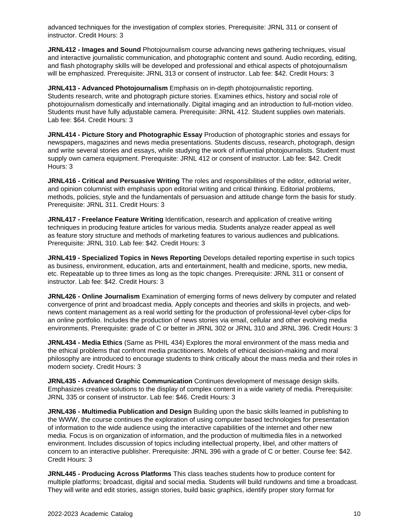advanced techniques for the investigation of complex stories. Prerequisite: JRNL 311 or consent of instructor. Credit Hours: 3

**JRNL412 - Images and Sound** Photojournalism course advancing news gathering techniques, visual and interactive journalistic communication, and photographic content and sound. Audio recording, editing, and flash photography skills will be developed and professional and ethical aspects of photojournalism will be emphasized. Prerequisite: JRNL 313 or consent of instructor. Lab fee: \$42. Credit Hours: 3

**JRNL413 - Advanced Photojournalism** Emphasis on in-depth photojournalistic reporting. Students research, write and photograph picture stories. Examines ethics, history and social role of photojournalism domestically and internationally. Digital imaging and an introduction to full-motion video. Students must have fully adjustable camera. Prerequisite: JRNL 412. Student supplies own materials. Lab fee: \$64. Credit Hours: 3

**JRNL414 - Picture Story and Photographic Essay** Production of photographic stories and essays for newspapers, magazines and news media presentations. Students discuss, research, photograph, design and write several stories and essays, while studying the work of influential photojournalists. Student must supply own camera equipment. Prerequisite: JRNL 412 or consent of instructor. Lab fee: \$42. Credit Hours: 3

**JRNL416 - Critical and Persuasive Writing** The roles and responsibilities of the editor, editorial writer, and opinion columnist with emphasis upon editorial writing and critical thinking. Editorial problems, methods, policies, style and the fundamentals of persuasion and attitude change form the basis for study. Prerequisite: JRNL 311. Credit Hours: 3

**JRNL417 - Freelance Feature Writing** Identification, research and application of creative writing techniques in producing feature articles for various media. Students analyze reader appeal as well as feature story structure and methods of marketing features to various audiences and publications. Prerequisite: JRNL 310. Lab fee: \$42. Credit Hours: 3

**JRNL419 - Specialized Topics in News Reporting** Develops detailed reporting expertise in such topics as business, environment, education, arts and entertainment, health and medicine, sports, new media, etc. Repeatable up to three times as long as the topic changes. Prerequisite: JRNL 311 or consent of instructor. Lab fee: \$42. Credit Hours: 3

**JRNL426 - Online Journalism** Examination of emerging forms of news delivery by computer and related convergence of print and broadcast media. Apply concepts and theories and skills in projects, and webnews content management as a real world setting for the production of professional-level cyber-clips for an online portfolio. Includes the production of news stories via email, cellular and other evolving media environments. Prerequisite: grade of C or better in JRNL 302 or JRNL 310 and JRNL 396. Credit Hours: 3

**JRNL434 - Media Ethics** (Same as PHIL 434) Explores the moral environment of the mass media and the ethical problems that confront media practitioners. Models of ethical decision-making and moral philosophy are introduced to encourage students to think critically about the mass media and their roles in modern society. Credit Hours: 3

**JRNL435 - Advanced Graphic Communication** Continues development of message design skills. Emphasizes creative solutions to the display of complex content in a wide variety of media. Prerequisite: JRNL 335 or consent of instructor. Lab fee: \$46. Credit Hours: 3

**JRNL436 - Multimedia Publication and Design** Building upon the basic skills learned in publishing to the WWW, the course continues the exploration of using computer based technologies for presentation of information to the wide audience using the interactive capabilities of the internet and other new media. Focus is on organization of information, and the production of multimedia files in a networked environment. Includes discussion of topics including intellectual property, libel, and other matters of concern to an interactive publisher. Prerequisite: JRNL 396 with a grade of C or better. Course fee: \$42. Credit Hours: 3

**JRNL445 - Producing Across Platforms** This class teaches students how to produce content for multiple platforms; broadcast, digital and social media. Students will build rundowns and time a broadcast. They will write and edit stories, assign stories, build basic graphics, identify proper story format for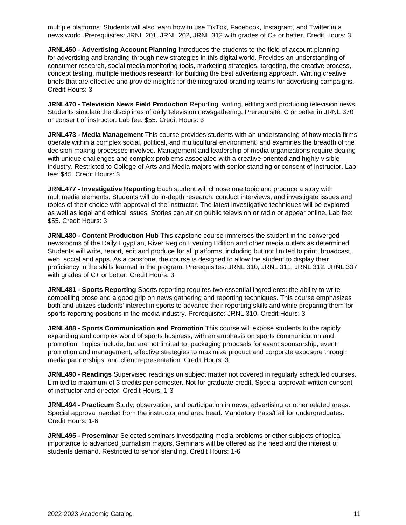multiple platforms. Students will also learn how to use TikTok, Facebook, Instagram, and Twitter in a news world. Prerequisites: JRNL 201, JRNL 202, JRNL 312 with grades of C+ or better. Credit Hours: 3

**JRNL450 - Advertising Account Planning** Introduces the students to the field of account planning for advertising and branding through new strategies in this digital world. Provides an understanding of consumer research, social media monitoring tools, marketing strategies, targeting, the creative process, concept testing, multiple methods research for building the best advertising approach. Writing creative briefs that are effective and provide insights for the integrated branding teams for advertising campaigns. Credit Hours: 3

**JRNL470 - Television News Field Production** Reporting, writing, editing and producing television news. Students simulate the disciplines of daily television newsgathering. Prerequisite: C or better in JRNL 370 or consent of instructor. Lab fee: \$55. Credit Hours: 3

**JRNL473 - Media Management** This course provides students with an understanding of how media firms operate within a complex social, political, and multicultural environment, and examines the breadth of the decision-making processes involved. Management and leadership of media organizations require dealing with unique challenges and complex problems associated with a creative-oriented and highly visible industry. Restricted to College of Arts and Media majors with senior standing or consent of instructor. Lab fee: \$45. Credit Hours: 3

**JRNL477 - Investigative Reporting** Each student will choose one topic and produce a story with multimedia elements. Students will do in-depth research, conduct interviews, and investigate issues and topics of their choice with approval of the instructor. The latest investigative techniques will be explored as well as legal and ethical issues. Stories can air on public television or radio or appear online. Lab fee: \$55. Credit Hours: 3

**JRNL480 - Content Production Hub** This capstone course immerses the student in the converged newsrooms of the Daily Egyptian, River Region Evening Edition and other media outlets as determined. Students will write, report, edit and produce for all platforms, including but not limited to print, broadcast, web, social and apps. As a capstone, the course is designed to allow the student to display their proficiency in the skills learned in the program. Prerequisites: JRNL 310, JRNL 311, JRNL 312, JRNL 337 with grades of C+ or better. Credit Hours: 3

**JRNL481 - Sports Reporting** Sports reporting requires two essential ingredients: the ability to write compelling prose and a good grip on news gathering and reporting techniques. This course emphasizes both and utilizes students' interest in sports to advance their reporting skills and while preparing them for sports reporting positions in the media industry. Prerequisite: JRNL 310. Credit Hours: 3

**JRNL488 - Sports Communication and Promotion** This course will expose students to the rapidly expanding and complex world of sports business, with an emphasis on sports communication and promotion. Topics include, but are not limited to, packaging proposals for event sponsorship, event promotion and management, effective strategies to maximize product and corporate exposure through media partnerships, and client representation. Credit Hours: 3

**JRNL490 - Readings** Supervised readings on subject matter not covered in regularly scheduled courses. Limited to maximum of 3 credits per semester. Not for graduate credit. Special approval: written consent of instructor and director. Credit Hours: 1-3

**JRNL494 - Practicum** Study, observation, and participation in news, advertising or other related areas. Special approval needed from the instructor and area head. Mandatory Pass/Fail for undergraduates. Credit Hours: 1-6

**JRNL495 - Proseminar** Selected seminars investigating media problems or other subjects of topical importance to advanced journalism majors. Seminars will be offered as the need and the interest of students demand. Restricted to senior standing. Credit Hours: 1-6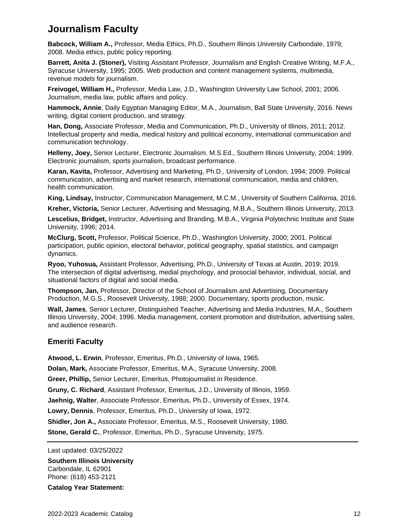# **Journalism Faculty**

**Babcock, William A.,** Professor, Media Ethics, Ph.D., Southern Illinois University Carbondale, 1979; 2008. Media ethics, public policy reporting.

**Barrett, Anita J. (Stoner),** Visiting Assistant Professor, Journalism and English Creative Writing, M.F.A., Syracuse University, 1995; 2005. Web production and content management systems, multimedia, revenue models for journalism.

**Freivogel, William H.,** Professor, Media Law, J.D., Washington University Law School, 2001; 2006. Journalism, media law, public affairs and policy.

**Hammock, Annie**, Daily Egyptian Managing Editor, M.A., Journalism, Ball State University, 2016. News writing, digital content production, and strategy.

**Han, Dong,** Associate Professor, Media and Communication, Ph.D., University of Illinois, 2011; 2012. Intellectual property and media, medical history and political economy, international communication and communication technology.

**Helleny, Joey,** Senior Lecturer, Electronic Journalism. M.S.Ed., Southern Illinois University, 2004; 1999. Electronic journalism, sports journalism, broadcast performance.

**Karan, Kavita,** Professor, Advertising and Marketing, Ph.D., University of London, 1994; 2009. Political communication, advertising and market research, international communication, media and children, health communication.

**King, Lindsay,** Instructor, Communication Management, M.C.M., University of Southern California, 2016.

**Kreher, Victoria,** Senior Lecturer, Advertising and Messaging, M.B.A., Southern Illinois University, 2013.

**Lescelius, Bridget,** Instructor, Advertising and Branding, M.B.A., Virginia Polytechnic Institute and State University, 1996; 2014.

**McClurg, Scott,** Professor, Political Science, Ph.D., Washington University, 2000; 2001. Political participation, public opinion, electoral behavior, political geography, spatial statistics, and campaign dynamics.

**Ryoo, Yuhosua,** Assistant Professor, Advertising, Ph.D., University of Texas at Austin, 2019; 2019. The intersection of digital advertising, medial psychology, and prosocial behavior, individual, social, and situational factors of digital and social media.

**Thompson, Jan,** Professor, Director of the School of Journalism and Advertising, Documentary Production, M.G.S., Roosevelt University, 1988; 2000. Documentary, sports production, music.

**Wall, James**, Senior Lecturer, Distinguished Teacher, Advertising and Media Industries, M.A., Southern Illinois University, 2004; 1996. Media management, content promotion and distribution, advertising sales, and audience research.

#### **Emeriti Faculty**

**Atwood, L. Erwin**, Professor, Emeritus, Ph.D., University of Iowa, 1965.

**Dolan, Mark,** Associate Professor, Emeritus, M.A., Syracuse University, 2008.

**Greer, Phillip,** Senior Lecturer, Emeritus, Photojournalist in Residence.

**Gruny, C. Richard**, Assistant Professor, Emeritus, J.D., University of Illinois, 1959.

**Jaehnig, Walter**, Associate Professor, Emeritus, Ph.D., University of Essex, 1974.

**Lowry, Dennis**, Professor, Emeritus, Ph.D., University of Iowa, 1972.

**Shidler, Jon A.,** Associate Professor, Emeritus, M.S., Roosevelt University, 1980.

**Stone, Gerald C.**, Professor, Emeritus, Ph.D., Syracuse University, 1975.

Last updated: 03/25/2022

**Southern Illinois University** Carbondale, IL 62901 Phone: (618) 453-2121

**Catalog Year Statement:**